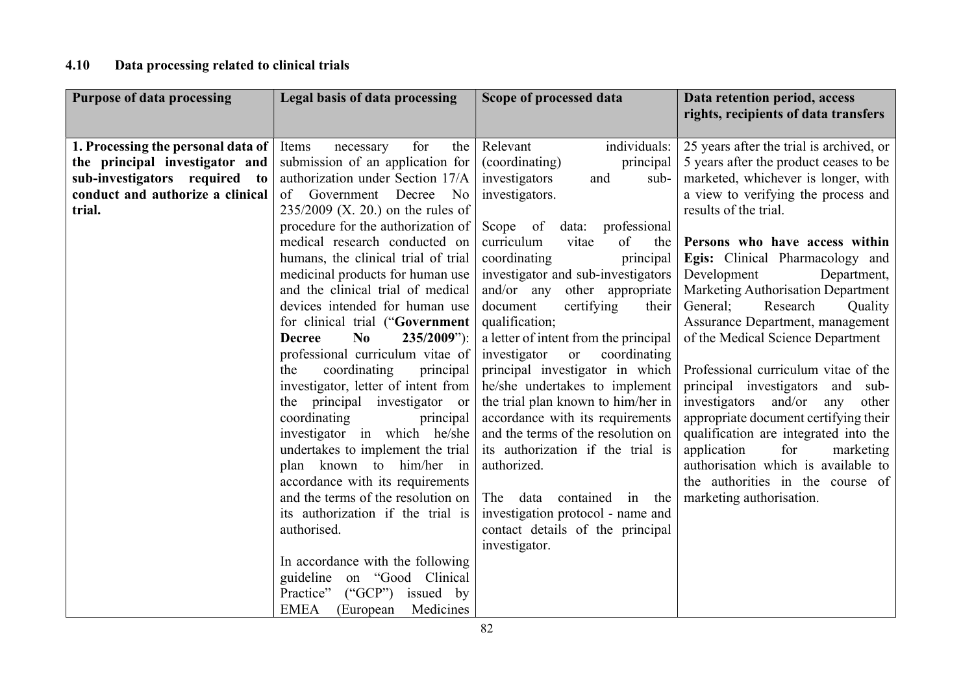## 4.10 Data processing related to clinical trials

| <b>Purpose of data processing</b>                                                                                                                   | <b>Legal basis of data processing</b>                                                                                                                                                                                                                                                                                                                                                                                                                                                                                                                                                                                                                                                                                                                                                                                                                                                                                                                                                                                                    | Scope of processed data                                                                                                                                                                                                                                                                                                                                                                                                                                                                                                                                                                                                                                                                                                                                                                                | Data retention period, access<br>rights, recipients of data transfers                                                                                                                                                                                                                                                                                                                                                                                                                                                                                                                                                                                                                                                                                                                                |
|-----------------------------------------------------------------------------------------------------------------------------------------------------|------------------------------------------------------------------------------------------------------------------------------------------------------------------------------------------------------------------------------------------------------------------------------------------------------------------------------------------------------------------------------------------------------------------------------------------------------------------------------------------------------------------------------------------------------------------------------------------------------------------------------------------------------------------------------------------------------------------------------------------------------------------------------------------------------------------------------------------------------------------------------------------------------------------------------------------------------------------------------------------------------------------------------------------|--------------------------------------------------------------------------------------------------------------------------------------------------------------------------------------------------------------------------------------------------------------------------------------------------------------------------------------------------------------------------------------------------------------------------------------------------------------------------------------------------------------------------------------------------------------------------------------------------------------------------------------------------------------------------------------------------------------------------------------------------------------------------------------------------------|------------------------------------------------------------------------------------------------------------------------------------------------------------------------------------------------------------------------------------------------------------------------------------------------------------------------------------------------------------------------------------------------------------------------------------------------------------------------------------------------------------------------------------------------------------------------------------------------------------------------------------------------------------------------------------------------------------------------------------------------------------------------------------------------------|
| 1. Processing the personal data of<br>the principal investigator and<br>sub-investigators required to<br>conduct and authorize a clinical<br>trial. | for<br>Items<br>the<br>necessary<br>submission of an application for<br>authorization under Section 17/A<br>of Government<br>Decree<br>No<br>$235/2009$ (X. 20.) on the rules of<br>procedure for the authorization of<br>medical research conducted on<br>humans, the clinical trial of trial<br>medicinal products for human use<br>and the clinical trial of medical<br>devices intended for human use<br>for clinical trial ("Government<br>No<br>$235/2009$ "):<br><b>Decree</b><br>professional curriculum vitae of<br>coordinating<br>principal<br>the<br>investigator, letter of intent from<br>the principal investigator<br><sub>or</sub><br>coordinating<br>principal<br>investigator in which he/she<br>undertakes to implement the trial<br>plan known to him/her in<br>accordance with its requirements<br>and the terms of the resolution on<br>its authorization if the trial is<br>authorised.<br>In accordance with the following<br>guideline on "Good Clinical<br>Practice"<br>$(^{\circ}GCP^{\prime})$<br>issued by | individuals:<br>Relevant<br>(coordinating)<br>principal<br>investigators<br>and<br>sub-<br>investigators.<br>Scope of<br>data: professional<br>of<br>curriculum<br>vitae<br>the<br>coordinating<br>principal<br>investigator and sub-investigators<br>and/or any other appropriate<br>document<br>certifying<br>their<br>qualification;<br>a letter of intent from the principal<br>investigator<br>coordinating<br><b>or</b><br>principal investigator in which<br>he/she undertakes to implement<br>the trial plan known to him/her in<br>accordance with its requirements<br>and the terms of the resolution on<br>its authorization if the trial is<br>authorized.<br>The<br>data<br>contained<br>in the<br>investigation protocol - name and<br>contact details of the principal<br>investigator. | 25 years after the trial is archived, or<br>5 years after the product ceases to be<br>marketed, whichever is longer, with<br>a view to verifying the process and<br>results of the trial.<br>Persons who have access within<br>Egis: Clinical Pharmacology and<br>Development<br>Department,<br>Marketing Authorisation Department<br>General;<br>Research<br>Quality<br>Assurance Department, management<br>of the Medical Science Department<br>Professional curriculum vitae of the<br>principal investigators and<br>sub-<br>and/or<br>investigators<br>other<br>any<br>appropriate document certifying their<br>qualification are integrated into the<br>for<br>application<br>marketing<br>authorisation which is available to<br>the authorities in the course of<br>marketing authorisation. |
|                                                                                                                                                     | <b>EMEA</b><br>Medicines<br>(European)                                                                                                                                                                                                                                                                                                                                                                                                                                                                                                                                                                                                                                                                                                                                                                                                                                                                                                                                                                                                   |                                                                                                                                                                                                                                                                                                                                                                                                                                                                                                                                                                                                                                                                                                                                                                                                        |                                                                                                                                                                                                                                                                                                                                                                                                                                                                                                                                                                                                                                                                                                                                                                                                      |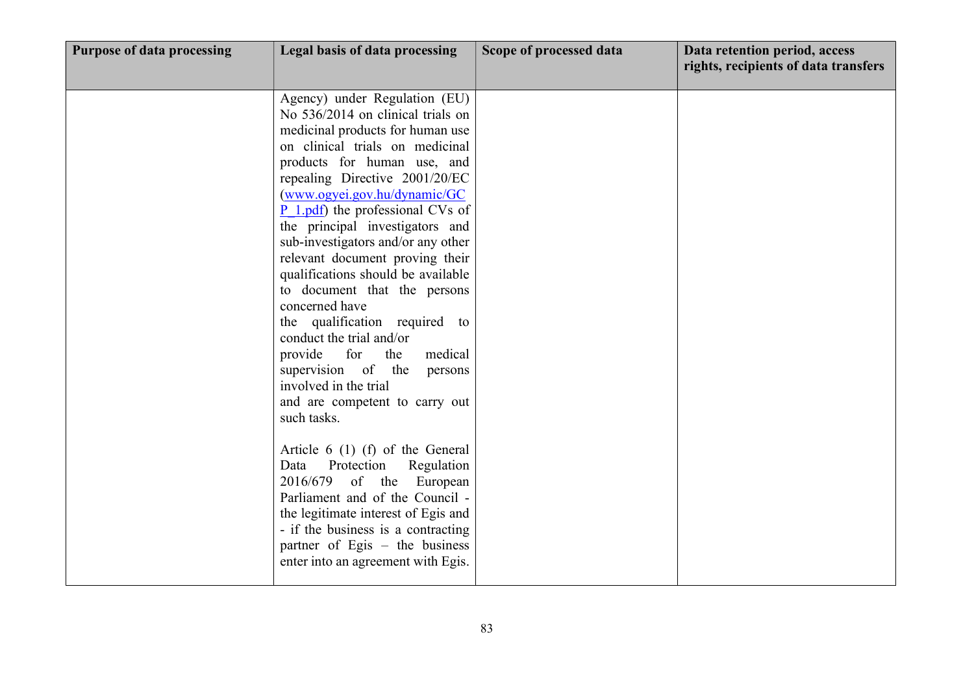| <b>Purpose of data processing</b> | Legal basis of data processing                                                                                                                                                                                                                                                                                                                                                                                                                                                                                                                                                                                                                                                                                                                                                                                                                                                                                                                                                                 | Scope of processed data | Data retention period, access<br>rights, recipients of data transfers |
|-----------------------------------|------------------------------------------------------------------------------------------------------------------------------------------------------------------------------------------------------------------------------------------------------------------------------------------------------------------------------------------------------------------------------------------------------------------------------------------------------------------------------------------------------------------------------------------------------------------------------------------------------------------------------------------------------------------------------------------------------------------------------------------------------------------------------------------------------------------------------------------------------------------------------------------------------------------------------------------------------------------------------------------------|-------------------------|-----------------------------------------------------------------------|
|                                   | Agency) under Regulation (EU)<br>No 536/2014 on clinical trials on<br>medicinal products for human use<br>on clinical trials on medicinal<br>products for human use, and<br>repealing Directive 2001/20/EC<br>(www.ogyei.gov.hu/dynamic/GC<br>$P_1$ .pdf) the professional CVs of<br>the principal investigators and<br>sub-investigators and/or any other<br>relevant document proving their<br>qualifications should be available<br>to document that the persons<br>concerned have<br>the qualification required to<br>conduct the trial and/or<br>for<br>provide<br>the<br>medical<br>supervision of the<br>persons<br>involved in the trial<br>and are competent to carry out<br>such tasks.<br>Article $6(1)$ (f) of the General<br>Protection<br>Regulation<br>Data<br>2016/679 of the European<br>Parliament and of the Council -<br>the legitimate interest of Egis and<br>- if the business is a contracting<br>partner of Egis – the business<br>enter into an agreement with Egis. |                         |                                                                       |
|                                   |                                                                                                                                                                                                                                                                                                                                                                                                                                                                                                                                                                                                                                                                                                                                                                                                                                                                                                                                                                                                |                         |                                                                       |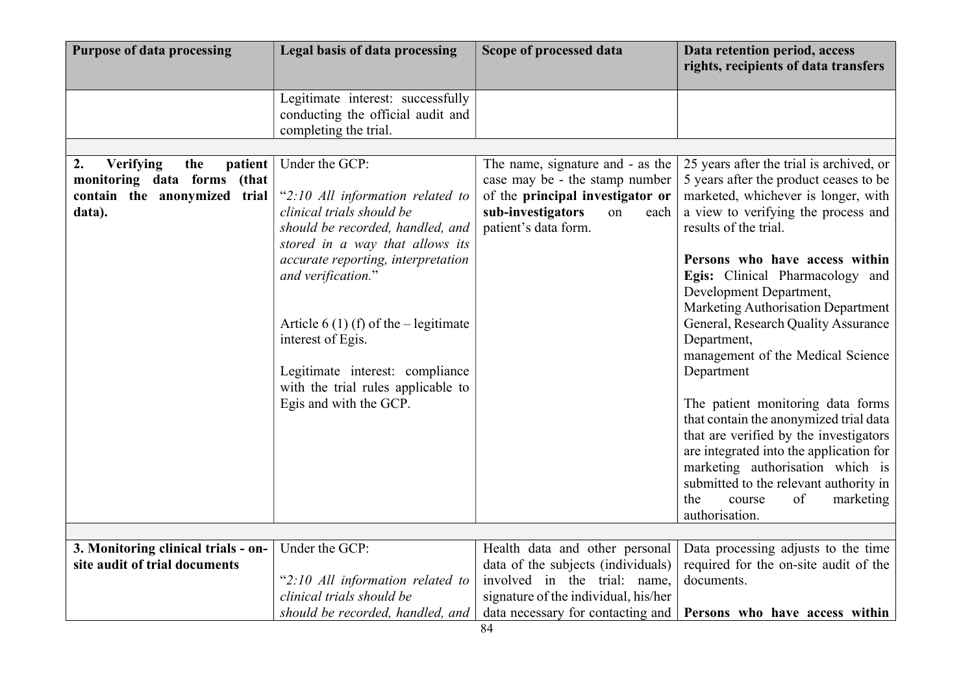| <b>Purpose of data processing</b>                                    | Legal basis of data processing                                                                  | Scope of processed data                                              | Data retention period, access<br>rights, recipients of data transfers            |
|----------------------------------------------------------------------|-------------------------------------------------------------------------------------------------|----------------------------------------------------------------------|----------------------------------------------------------------------------------|
|                                                                      | Legitimate interest: successfully<br>conducting the official audit and<br>completing the trial. |                                                                      |                                                                                  |
|                                                                      |                                                                                                 |                                                                      |                                                                                  |
| <b>Verifying</b><br>2.<br>the<br>patient                             | Under the GCP:                                                                                  | The name, signature and - as the                                     | 25 years after the trial is archived, or                                         |
| monitoring data forms<br>(that<br>contain the anonymized trial       | "2:10 All information related to                                                                | case may be - the stamp number<br>of the principal investigator or   | 5 years after the product ceases to be<br>marketed, whichever is longer, with    |
| data).                                                               | clinical trials should be                                                                       | sub-investigators<br>each<br>on                                      | a view to verifying the process and                                              |
|                                                                      | should be recorded, handled, and                                                                | patient's data form.                                                 | results of the trial.                                                            |
|                                                                      | stored in a way that allows its                                                                 |                                                                      |                                                                                  |
|                                                                      | accurate reporting, interpretation                                                              |                                                                      | Persons who have access within                                                   |
|                                                                      | and verification."                                                                              |                                                                      | Egis: Clinical Pharmacology and                                                  |
|                                                                      |                                                                                                 |                                                                      | Development Department,                                                          |
|                                                                      | Article 6 (1) (f) of the $-$ legitimate                                                         |                                                                      | Marketing Authorisation Department<br>General, Research Quality Assurance        |
|                                                                      | interest of Egis.                                                                               |                                                                      | Department,                                                                      |
|                                                                      |                                                                                                 |                                                                      | management of the Medical Science                                                |
|                                                                      | Legitimate interest: compliance                                                                 |                                                                      | Department                                                                       |
|                                                                      | with the trial rules applicable to                                                              |                                                                      |                                                                                  |
|                                                                      | Egis and with the GCP.                                                                          |                                                                      | The patient monitoring data forms                                                |
|                                                                      |                                                                                                 |                                                                      | that contain the anonymized trial data<br>that are verified by the investigators |
|                                                                      |                                                                                                 |                                                                      | are integrated into the application for                                          |
|                                                                      |                                                                                                 |                                                                      | marketing authorisation which is                                                 |
|                                                                      |                                                                                                 |                                                                      | submitted to the relevant authority in                                           |
|                                                                      |                                                                                                 |                                                                      | of<br>marketing<br>the<br>course                                                 |
|                                                                      |                                                                                                 |                                                                      | authorisation.                                                                   |
|                                                                      |                                                                                                 |                                                                      |                                                                                  |
| 3. Monitoring clinical trials - on-<br>site audit of trial documents | Under the GCP:                                                                                  | Health data and other personal<br>data of the subjects (individuals) | Data processing adjusts to the time<br>required for the on-site audit of the     |
|                                                                      | "2:10 All information related to                                                                | involved in the trial: name,                                         | documents.                                                                       |
|                                                                      | clinical trials should be                                                                       | signature of the individual, his/her                                 |                                                                                  |
|                                                                      | should be recorded, handled, and                                                                | data necessary for contacting and                                    | Persons who have access within                                                   |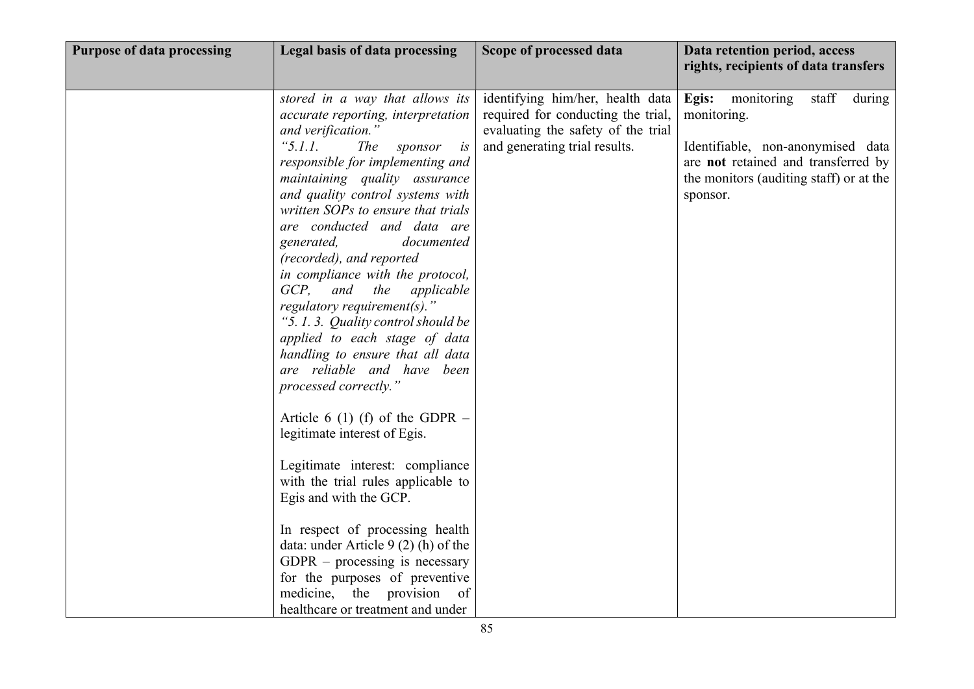| <b>Purpose of data processing</b> | Legal basis of data processing                                                                                                                                                                                                                                                                                                                                                                                                                                                                                                                                                                                                                                                                                                                                                                                                                                                                                                                                                                                                              | Scope of processed data                                                                                                                       | Data retention period, access<br>rights, recipients of data transfers                                                                                                                    |
|-----------------------------------|---------------------------------------------------------------------------------------------------------------------------------------------------------------------------------------------------------------------------------------------------------------------------------------------------------------------------------------------------------------------------------------------------------------------------------------------------------------------------------------------------------------------------------------------------------------------------------------------------------------------------------------------------------------------------------------------------------------------------------------------------------------------------------------------------------------------------------------------------------------------------------------------------------------------------------------------------------------------------------------------------------------------------------------------|-----------------------------------------------------------------------------------------------------------------------------------------------|------------------------------------------------------------------------------------------------------------------------------------------------------------------------------------------|
|                                   | stored in a way that allows its<br>accurate reporting, interpretation<br>and verification."<br>"5.1.1.<br><i>The</i><br>sponsor<br>is<br>responsible for implementing and<br>maintaining quality assurance<br>and quality control systems with<br>written SOPs to ensure that trials<br>are conducted and data are<br>generated,<br>documented<br>(recorded), and reported<br>in compliance with the protocol,<br>GCP, and<br>the<br>applicable<br>regulatory requirement(s)."<br>"5.1.3. Quality control should be<br>applied to each stage of data<br>handling to ensure that all data<br>are reliable and have been<br>processed correctly."<br>Article 6 (1) (f) of the GDPR $-$<br>legitimate interest of Egis.<br>Legitimate interest: compliance<br>with the trial rules applicable to<br>Egis and with the GCP.<br>In respect of processing health<br>data: under Article 9 (2) (h) of the<br>$GDPR$ – processing is necessary<br>for the purposes of preventive<br>medicine, the provision of<br>healthcare or treatment and under | identifying him/her, health data<br>required for conducting the trial,<br>evaluating the safety of the trial<br>and generating trial results. | Egis:<br>monitoring<br>staff<br>during<br>monitoring.<br>Identifiable, non-anonymised data<br>are not retained and transferred by<br>the monitors (auditing staff) or at the<br>sponsor. |